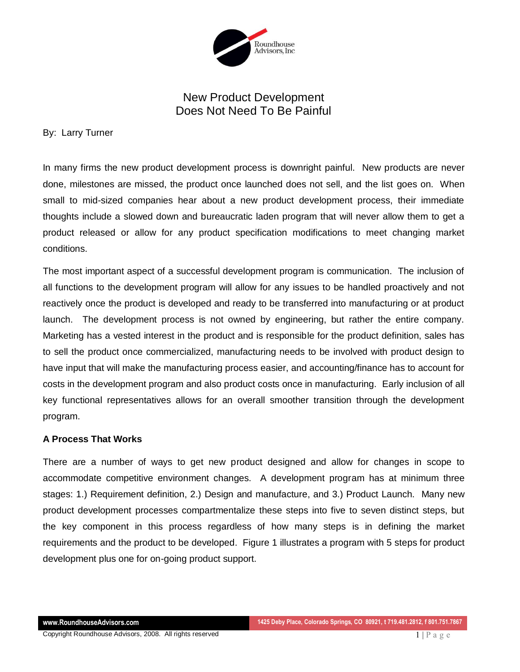

## New Product Development Does Not Need To Be Painful

By: Larry Turner

In many firms the new product development process is downright painful. New products are never done, milestones are missed, the product once launched does not sell, and the list goes on. When small to mid-sized companies hear about a new product development process, their immediate thoughts include a slowed down and bureaucratic laden program that will never allow them to get a product released or allow for any product specification modifications to meet changing market conditions.

The most important aspect of a successful development program is communication. The inclusion of all functions to the development program will allow for any issues to be handled proactively and not reactively once the product is developed and ready to be transferred into manufacturing or at product launch. The development process is not owned by engineering, but rather the entire company. Marketing has a vested interest in the product and is responsible for the product definition, sales has to sell the product once commercialized, manufacturing needs to be involved with product design to have input that will make the manufacturing process easier, and accounting/finance has to account for costs in the development program and also product costs once in manufacturing. Early inclusion of all key functional representatives allows for an overall smoother transition through the development program.

## **A Process That Works**

There are a number of ways to get new product designed and allow for changes in scope to accommodate competitive environment changes. A development program has at minimum three stages: 1.) Requirement definition, 2.) Design and manufacture, and 3.) Product Launch. Many new product development processes compartmentalize these steps into five to seven distinct steps, but the key component in this process regardless of how many steps is in defining the market requirements and the product to be developed. Figure 1 illustrates a program with 5 steps for product development plus one for on-going product support.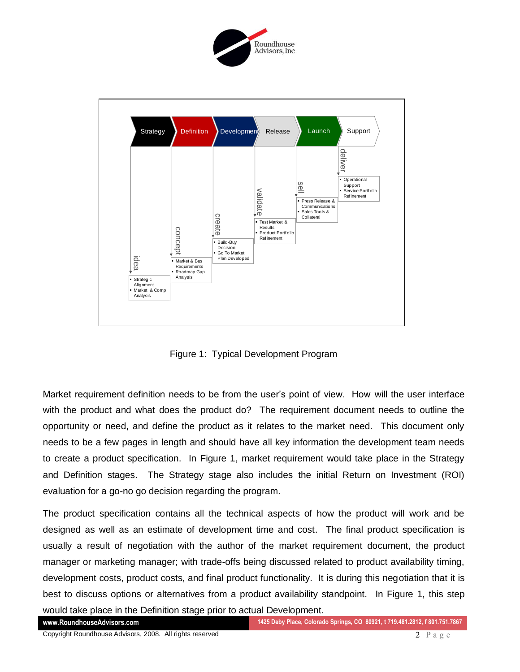



Figure 1: Typical Development Program

Market requirement definition needs to be from the user's point of view. How will the user interface with the product and what does the product do? The requirement document needs to outline the opportunity or need, and define the product as it relates to the market need. This document only needs to be a few pages in length and should have all key information the development team needs to create a product specification. In Figure 1, market requirement would take place in the Strategy and Definition stages. The Strategy stage also includes the initial Return on Investment (ROI) evaluation for a go-no go decision regarding the program.

The product specification contains all the technical aspects of how the product will work and be designed as well as an estimate of development time and cost. The final product specification is usually a result of negotiation with the author of the market requirement document, the product manager or marketing manager; with trade-offs being discussed related to product availability timing, development costs, product costs, and final product functionality. It is during this negotiation that it is best to discuss options or alternatives from a product availability standpoint. In Figure 1, this step would take place in the Definition stage prior to actual Development.

**www.RoundhouseAdvisors.com 1425 Deby Place, Colorado Springs, CO 80921, t 719.481.2812, f 801.751.7867**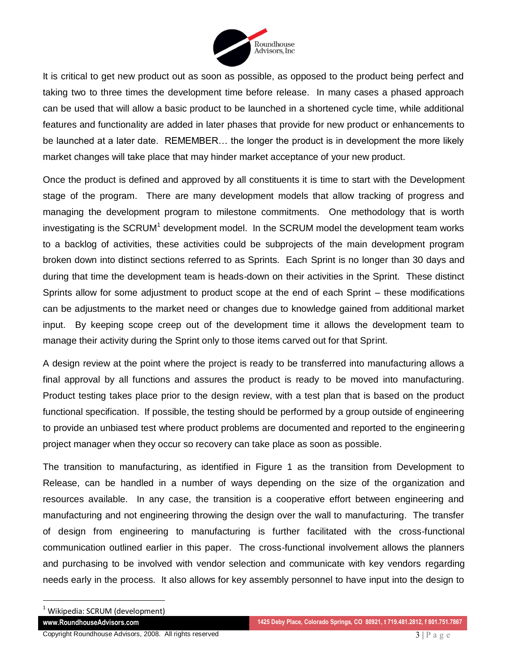

It is critical to get new product out as soon as possible, as opposed to the product being perfect and taking two to three times the development time before release. In many cases a phased approach can be used that will allow a basic product to be launched in a shortened cycle time, while additional features and functionality are added in later phases that provide for new product or enhancements to be launched at a later date. REMEMBER… the longer the product is in development the more likely market changes will take place that may hinder market acceptance of your new product.

Once the product is defined and approved by all constituents it is time to start with the Development stage of the program. There are many development models that allow tracking of progress and managing the development program to milestone commitments. One methodology that is worth investigating is the SCRUM<sup>1</sup> development model. In the SCRUM model the development team works to a backlog of activities, these activities could be subprojects of the main development program broken down into distinct sections referred to as Sprints. Each Sprint is no longer than 30 days and during that time the development team is heads-down on their activities in the Sprint. These distinct Sprints allow for some adjustment to product scope at the end of each Sprint – these modifications can be adjustments to the market need or changes due to knowledge gained from additional market input. By keeping scope creep out of the development time it allows the development team to manage their activity during the Sprint only to those items carved out for that Sprint.

A design review at the point where the project is ready to be transferred into manufacturing allows a final approval by all functions and assures the product is ready to be moved into manufacturing. Product testing takes place prior to the design review, with a test plan that is based on the product functional specification. If possible, the testing should be performed by a group outside of engineering to provide an unbiased test where product problems are documented and reported to the engineering project manager when they occur so recovery can take place as soon as possible.

The transition to manufacturing, as identified in Figure 1 as the transition from Development to Release, can be handled in a number of ways depending on the size of the organization and resources available. In any case, the transition is a cooperative effort between engineering and manufacturing and not engineering throwing the design over the wall to manufacturing. The transfer of design from engineering to manufacturing is further facilitated with the cross-functional communication outlined earlier in this paper. The cross-functional involvement allows the planners and purchasing to be involved with vendor selection and communicate with key vendors regarding needs early in the process. It also allows for key assembly personnel to have input into the design to

 $\overline{a}$ 

 $1$  Wikipedia: SCRUM (development)